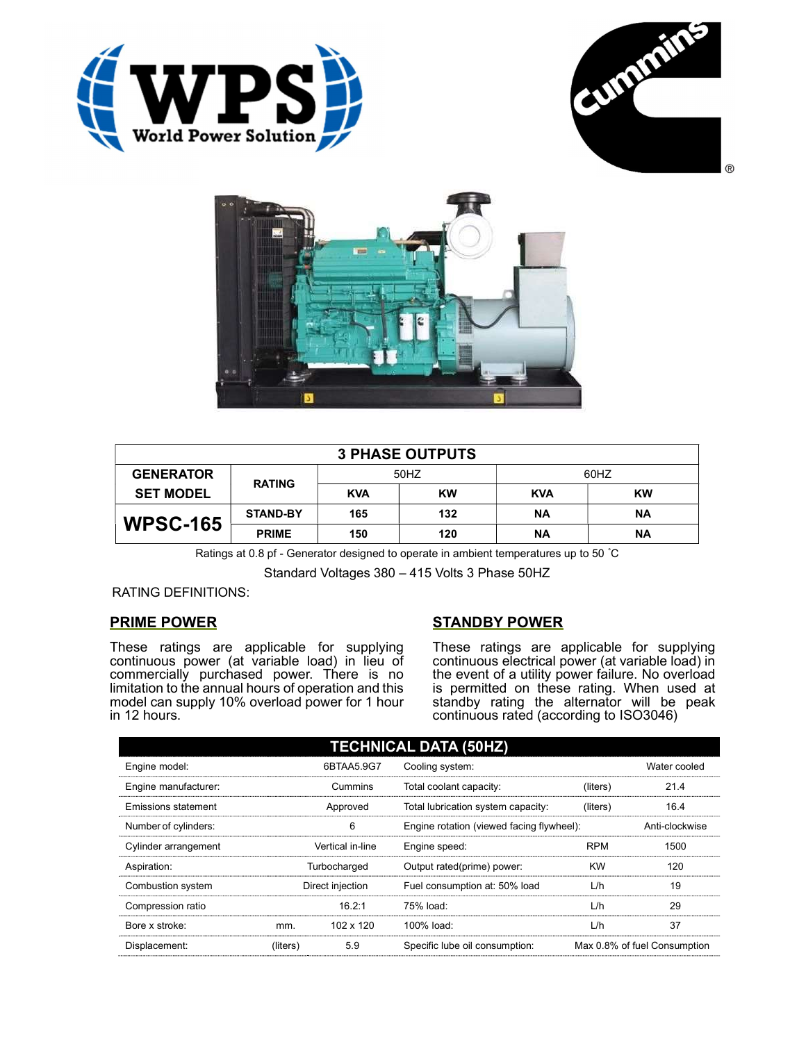





| <b>3 PHASE OUTPUTS</b> |                 |            |           |            |           |  |
|------------------------|-----------------|------------|-----------|------------|-----------|--|
| <b>GENERATOR</b>       | <b>RATING</b>   | 50HZ       |           | 60HZ       |           |  |
| <b>SET MODEL</b>       |                 | <b>KVA</b> | <b>KW</b> | <b>KVA</b> | <b>KW</b> |  |
| <b>WPSC-165</b>        | <b>STAND-BY</b> | 165        | 132       | ΝA         | ΝA        |  |
|                        | <b>PRIME</b>    | 150        | 120       | ΝA         | ΝA        |  |

Ratings at 0.8 pf - Generator designed to operate in ambient temperatures up to 50 °C

Standard Voltages 380 – 415 Volts 3 Phase 50HZ

## RATING DEFINITIONS:

## PRIME POWER

These ratings are applicable for supplying continuous power (at variable load) in lieu of commercially purchased power. There is no limitation to the annual hours of operation and this model can supply 10% overload power for 1 hour in 12 hours.

## STANDBY POWER

These ratings are applicable for supplying continuous electrical power (at variable load) in the event of a utility power failure. No overload is permitted on these rating. When used at standby rating the alternator will be peak continuous rated (according to ISO3046)

| <b>TECHNICAL DATA (50HZ)</b> |                  |            |                                           |            |                              |  |
|------------------------------|------------------|------------|-------------------------------------------|------------|------------------------------|--|
| Engine model:                |                  | 6BTAA5.9G7 | Cooling system:                           |            | Water cooled                 |  |
| Engine manufacturer:         | Cummins          |            | Total coolant capacity:                   | (liters)   | 21.4                         |  |
| <b>Emissions statement</b>   | Approved         |            | Total lubrication system capacity:        | (liters)   | 16.4                         |  |
| Number of cylinders:         | 6                |            | Engine rotation (viewed facing flywheel): |            | Anti-clockwise               |  |
| Cylinder arrangement         | Vertical in-line |            | Engine speed:                             | <b>RPM</b> | 1500                         |  |
| Aspiration:                  | Turbocharged     |            | Output rated(prime) power:                | <b>KW</b>  | 120                          |  |
| Combustion system            | Direct injection |            | Fuel consumption at: 50% load             | L/h        | 19                           |  |
| Compression ratio            |                  | 16.2:1     | 75% load:                                 | L/h        | 29                           |  |
| Bore x stroke:               | mm.              | 102 x 120  | 100% load:                                | L/h        | 37                           |  |
| Displacement:                | (liters)         | 5.9        | Specific lube oil consumption:            |            | Max 0.8% of fuel Consumption |  |